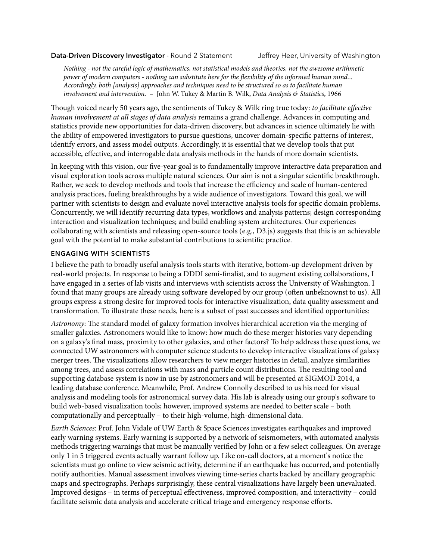## **Data-Driven Discovery Investigator** - Round 2 Statement Jeffrey Heer, University of Washington

*Nothing - not the careful logic of mathematics, not statistical models and theories, not the awesome arithmetic power of modern computers - nothing can substitute here for the* !*exibility of the informed human mind... Accordingly, both [analysis] approaches and techniques need to be structured so as to facilitate human involvement and intervention.* – John W. Tukey & Martin B. Wilk, *Data Analysis & Statistics*, 1966

ough voiced nearly 50 years ago, the sentiments of Tukey & Wilk ring true today: *to facilitate e*ff*ective human involvement at all stages of data analysis* remains a grand challenge. Advances in computing and statistics provide new opportunities for data-driven discovery, but advances in science ultimately lie with the ability of empowered investigators to pursue questions, uncover domain-specific patterns of interest, identify errors, and assess model outputs. Accordingly, it is essential that we develop tools that put accessible, effective, and interrogable data analysis methods in the hands of more domain scientists.

In keeping with this vision, our five-year goal is to fundamentally improve interactive data preparation and visual exploration tools across multiple natural sciences. Our aim is not a singular scientific breakthrough. Rather, we seek to develop methods and tools that increase the efficiency and scale of human-centered analysis practices, fueling breakthroughs by a wide audience of investigators. Toward this goal, we will partner with scientists to design and evaluate novel interactive analysis tools for specific domain problems. Concurrently, we will identify recurring data types, workflows and analysis patterns; design corresponding interaction and visualization techniques; and build enabling system architectures. Our experiences collaborating with scientists and releasing open-source tools (e.g., D3.js) suggests that this is an achievable goal with the potential to make substantial contributions to scientific practice.

## **ENGAGING WITH SCIENTISTS**

I believe the path to broadly useful analysis tools starts with iterative, bottom-up development driven by real-world projects. In response to being a DDDI semi-finalist, and to augment existing collaborations, I have engaged in a series of lab visits and interviews with scientists across the University of Washington. I found that many groups are already using software developed by our group (often unbeknownst to us). All groups express a strong desire for improved tools for interactive visualization, data quality assessment and transformation. To illustrate these needs, here is a subset of past successes and identified opportunities:

*Astronomy*: The standard model of galaxy formation involves hierarchical accretion via the merging of smaller galaxies. Astronomers would like to know: how much do these merger histories vary depending on a galaxy's final mass, proximity to other galaxies, and other factors? To help address these questions, we connected UW astronomers with computer science students to develop interactive visualizations of galaxy merger trees. The visualizations allow researchers to view merger histories in detail, analyze similarities among trees, and assess correlations with mass and particle count distributions. The resulting tool and supporting database system is now in use by astronomers and will be presented at SIGMOD 2014, a leading database conference. Meanwhile, Prof. Andrew Connolly described to us his need for visual analysis and modeling tools for astronomical survey data. His lab is already using our group's software to build web-based visualization tools; however, improved systems are needed to better scale – both computationally and perceptually – to their high-volume, high-dimensional data.

*Earth Sciences*: Prof. John Vidale of UW Earth & Space Sciences investigates earthquakes and improved early warning systems. Early warning is supported by a network of seismometers, with automated analysis methods triggering warnings that must be manually verified by John or a few select colleagues. On average only 1 in 5 triggered events actually warrant follow up. Like on-call doctors, at a moment's notice the scientists must go online to view seismic activity, determine if an earthquake has occurred, and potentially notify authorities. Manual assessment involves viewing time-series charts backed by ancillary geographic maps and spectrographs. Perhaps surprisingly, these central visualizations have largely been unevaluated. Improved designs – in terms of perceptual effectiveness, improved composition, and interactivity – could facilitate seismic data analysis and accelerate critical triage and emergency response efforts.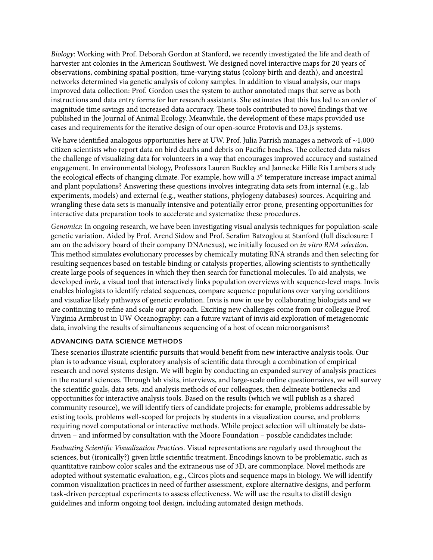*Biology*: Working with Prof. Deborah Gordon at Stanford, we recently investigated the life and death of harvester ant colonies in the American Southwest. We designed novel interactive maps for 20 years of observations, combining spatial position, time-varying status (colony birth and death), and ancestral networks determined via genetic analysis of colony samples. In addition to visual analysis, our maps improved data collection: Prof. Gordon uses the system to author annotated maps that serve as both instructions and data entry forms for her research assistants. She estimates that this has led to an order of magnitude time savings and increased data accuracy. These tools contributed to novel findings that we published in the Journal of Animal Ecology. Meanwhile, the development of these maps provided use cases and requirements for the iterative design of our open-source Protovis and D3.js systems.

We have identified analogous opportunities here at UW. Prof. Julia Parrish manages a network of  $\sim$ 1,000 citizen scientists who report data on bird deaths and debris on Pacific beaches. The collected data raises the challenge of visualizing data for volunteers in a way that encourages improved accuracy and sustained engagement. In environmental biology, Professors Lauren Buckley and Jannecke Hille Ris Lambers study the ecological effects of changing climate. For example, how will a 3° temperature increase impact animal and plant populations? Answering these questions involves integrating data sets from internal (e.g., lab experiments, models) and external (e.g., weather stations, phylogeny databases) sources. Acquiring and wrangling these data sets is manually intensive and potentially error-prone, presenting opportunities for interactive data preparation tools to accelerate and systematize these procedures.

*Genomics*: In ongoing research, we have been investigating visual analysis techniques for population-scale genetic variation. Aided by Prof. Arend Sidow and Prof. Serafim Batzoglou at Stanford (full disclosure: I am on the advisory board of their company DNAnexus), we initially focused on *in vitro RNA selection*. This method simulates evolutionary processes by chemically mutating RNA strands and then selecting for resulting sequences based on testable binding or catalysis properties, allowing scientists to synthetically create large pools of sequences in which they then search for functional molecules. To aid analysis, we developed *invis*, a visual tool that interactively links population overviews with sequence-level maps. Invis enables biologists to identify related sequences, compare sequence populations over varying conditions and visualize likely pathways of genetic evolution. Invis is now in use by collaborating biologists and we are continuing to refine and scale our approach. Exciting new challenges come from our colleague Prof. Virginia Armbrust in UW Oceanography: can a future variant of invis aid exploration of metagenomic data, involving the results of simultaneous sequencing of a host of ocean microorganisms?

## **ADVANCING DATA SCIENCE METHODS**

These scenarios illustrate scientific pursuits that would benefit from new interactive analysis tools. Our plan is to advance visual, exploratory analysis of scientific data through a combination of empirical research and novel systems design. We will begin by conducting an expanded survey of analysis practices in the natural sciences. Through lab visits, interviews, and large-scale online questionnaires, we will survey the scientific goals, data sets, and analysis methods of our colleagues, then delineate bottlenecks and opportunities for interactive analysis tools. Based on the results (which we will publish as a shared community resource), we will identify tiers of candidate projects: for example, problems addressable by existing tools, problems well-scoped for projects by students in a visualization course, and problems requiring novel computational or interactive methods. While project selection will ultimately be datadriven – and informed by consultation with the Moore Foundation – possible candidates include:

*Evaluating Scientific Visualization Practices*. Visual representations are regularly used throughout the sciences, but (ironically?) given little scientific treatment. Encodings known to be problematic, such as quantitative rainbow color scales and the extraneous use of 3D, are commonplace. Novel methods are adopted without systematic evaluation, e.g., Circos plots and sequence maps in biology. We will identify common visualization practices in need of further assessment, explore alternative designs, and perform task-driven perceptual experiments to assess effectiveness. We will use the results to distill design guidelines and inform ongoing tool design, including automated design methods.